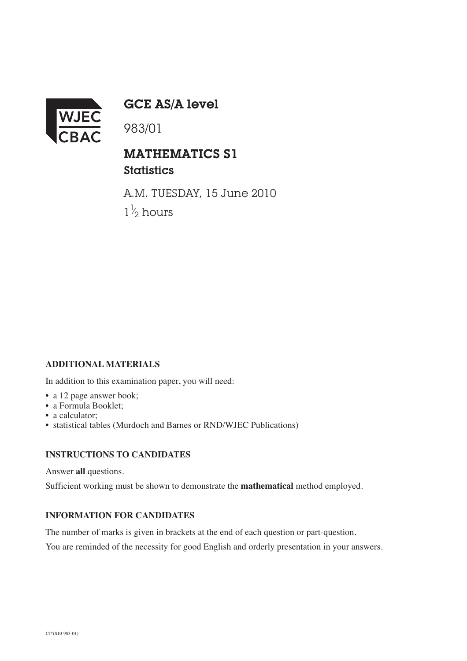

GCE AS/A level

983/01

## MATHEMATICS S1 **Statistics**

A.M. TUESDAY, 15 June 2010  $1\frac{1}{2}$  hours ⁄

## **ADDITIONAL MATERIALS**

In addition to this examination paper, you will need:

- a 12 page answer book;
- a Formula Booklet;
- a calculator;
- statistical tables (Murdoch and Barnes or RND/WJEC Publications)

## **INSTRUCTIONS TO CANDIDATES**

Answer **all** questions.

Sufficient working must be shown to demonstrate the **mathematical** method employed.

## **INFORMATION FOR CANDIDATES**

The number of marks is given in brackets at the end of each question or part-question.

You are reminded of the necessity for good English and orderly presentation in your answers.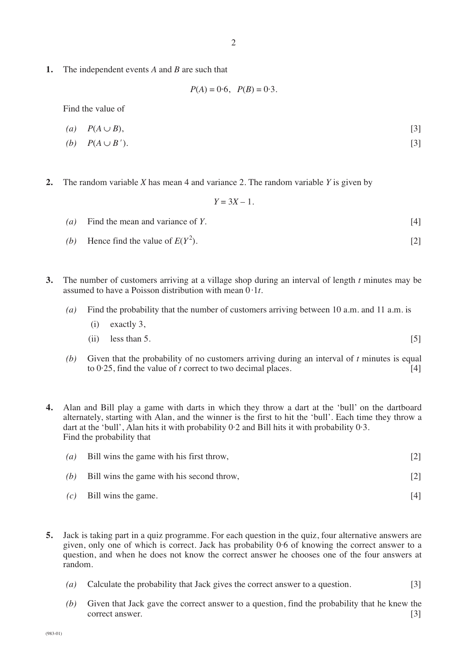**1.** The independent events *A* and *B* are such that

 $P(A) = 0.6$ ,  $P(B) = 0.3$ .

Find the value of

$$
(a) \quad P(A \cup B), \tag{3}
$$

- $P(A \cup B')$ . [3]
- **2.** The random variable *X* has mean 4 and variance 2. The random variable *Y* is given by

 $Y = 3X - 1$ .

- *(a)* Find the mean and variance of *Y*. [4]
- *(b)* Hence find the value of  $E(Y^2)$ .  $\left[2\right]$
- **3.** The number of customers arriving at a village shop during an interval of length *t* minutes may be assumed to have a Poisson distribution with mean  $\overline{0.1t}$ .
	- *(a)* Find the probability that the number of customers arriving between 10 a.m. and 11 a.m. is

(i) exactly 3,  
(ii) less than 5. 
$$
\begin{bmatrix}5\end{bmatrix}
$$

- *(b)* Given that the probability of no customers arriving during an interval of *t* minutes is equal to 0·25, find the value of *t* correct to two decimal places. [4]
- **4.** Alan and Bill play a game with darts in which they throw a dart at the 'bull' on the dartboard alternately, starting with Alan, and the winner is the first to hit the 'bull'. Each time they throw a dart at the 'bull', Alan hits it with probability 0·2 and Bill hits it with probability 0·3. Find the probability that

| (a) | Bill wins the game with his first throw,  |     |
|-----|-------------------------------------------|-----|
| (b) | Bill wins the game with his second throw, |     |
| (c) | Bill wins the game.                       | [4] |

- **5.** Jack is taking part in a quiz programme. For each question in the quiz, four alternative answers are given, only one of which is correct. Jack has probability 0·6 of knowing the correct answer to a question, and when he does not know the correct answer he chooses one of the four answers at random.
	- *(a)* Calculate the probability that Jack gives the correct answer to a question. [3]
	- *(b)* Given that Jack gave the correct answer to a question, find the probability that he knew the correct answer. [3]